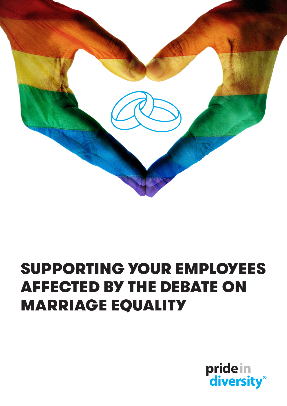

# SUPPORTING YOUR EMPLOYEES AFFECTED BY THE DEBATE ON MARRIAGE EQUALITY

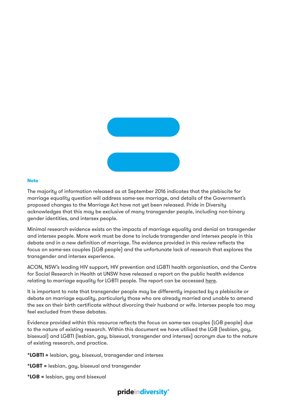

#### **Note**

The majority of information released as at September 2016 indicates that the plebiscite for marriage equality question will address same-sex marriage, and details of the Government's proposed changes to the Marriage Act have not yet been released. Pride in Diversity acknowledges that this may be exclusive of many transgender people, including non-binary gender identities, and intersex people.

Minimal research evidence exists on the impacts of marriage equality and denial on transgender and intersex people. More work must be done to include transgender and intersex people in this debate and in a new definition of marriage. The evidence provided in this review reflects the focus on same-sex couples (LGB people) and the unfortunate lack of research that explores the transgender and intersex experience.

ACON, NSW's leading HIV support, HIV prevention and LGBTI health organisation, and the Centre for Social Research in Health at UNSW have released a report on the public health evidence relating to marriage equality for LGBTI people. The report can be accessed [here](http://www.acon.org.au/wp-content/uploads/2016/09/Marriage-Equality-Evidence-Review_web.pdf).

It is important to note that transgender people may be differently impacted by a plebiscite or debate on marriage equality, particularly those who are already married and unable to amend the sex on their birth certificate without divorcing their husband or wife. Intersex people too may feel excluded from these debates.

Evidence provided within this resource reflects the focus on same-sex couples (LGB people) due to the nature of existing research. Within this document we have utilised the LGB (lesbian, gay, bisexual) and LGBTI (lesbian, gay, bisexual, transgender and intersex) acronym due to the nature of existing research, and practice.

- **\*LGBTI =** lesbian, gay, bisexual, transgender and intersex
- **\*LGBT =** lesbian, gay, bisexual and transgender
- **\*LGB =** lesbian, gay and bisexual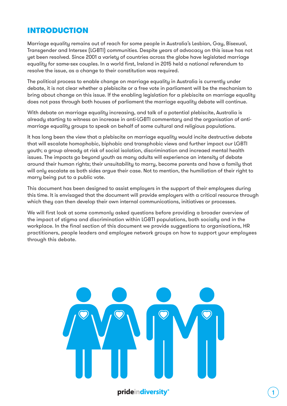# INTRODUCTION

Marriage equality remains out of reach for some people in Australia's Lesbian, Gay, Bisexual, Transgender and Intersex (LGBTI) communities. Despite years of advocacy on this issue has not yet been resolved. Since 2001 a variety of countries across the globe have legislated marriage equality for same-sex couples. In a world first, Ireland in 2015 held a national referendum to resolve the issue, as a change to their constitution was required.

The political process to enable change on marriage equality in Australia is currently under debate, it is not clear whether a plebiscite or a free vote in parliament will be the mechanism to bring about change on this issue. If the enabling legislation for a plebiscite on marriage equality does not pass through both houses of parliament the marriage equality debate will continue.

With debate on marriage equality increasing, and talk of a potential plebiscite, Australia is already starting to witness an increase in anti-LGBTI commentary and the organisation of antimarriage equality groups to speak on behalf of some cultural and religious populations.

It has long been the view that a plebiscite on marriage equality would incite destructive debate that will escalate homophobic, biphobic and transphobic views and further impact our LGBTI youth; a group already at risk of social isolation, discrimination and increaed mental health issues. The impacts go beyond youth as many adults will experience an intensity of debate around their human rights; their unsuitability to marry, become parents and have a family that will only escalate as both sides argue their case. Not to mention, the humiliation of their right to marry being put to a public vote.

This document has been designed to assist employers in the support of their employees during this time. It is envisaged that the document will provide employers with a critical resource through which they can then develop their own internal communications, initiatives or processes.

We will first look at some commonly asked questions before providing a broader overview of the impact of stigma and discrimination within LGBTI populations, both socially and in the workplace. In the final section of this document we provide suggestions to organisations, HR practitioners, people leaders and employee network groups on how to support your employees through this debate.

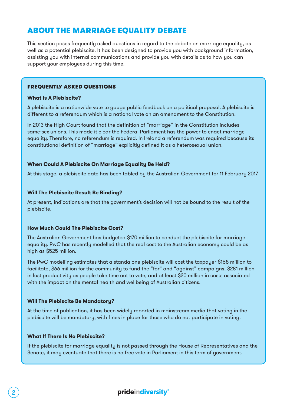# ABOUT THE MARRIAGE EQUALITY DEBATE

This section poses frequently asked questions in regard to the debate on marriage equality, as well as a potential plebiscite. It has been designed to provide you with background information, assisting you with internal communications and provide you with details as to how you can support your employees during this time.

#### FREQUENTLY ASKED QUESTIONS

#### **What Is A Plebiscite?**

A plebiscite is a nationwide vote to gauge public feedback on a political proposal. A plebiscite is different to a referendum which is a national vote on an amendment to the Constitution.

In 2013 the High Court found that the definition of "marriage" in the Constitution includes same-sex unions. This made it clear the Federal Parliament has the power to enact marriage equality. Therefore, no referendum is required. In Ireland a referendum was required because its constitutional definition of "marriage" explicitly defined it as a heterosexual union.

#### **When Could A Plebiscite On Marriage Equality Be Held?**

At this stage, a plebiscite date has been tabled by the Australian Government for 11 February 2017.

#### **Will The Plebiscite Result Be Binding?**

At present, indications are that the government's decision will not be bound to the result of the plebiscite.

#### **How Much Could The Plebiscite Cost?**

The Australian Government has budgeted \$170 million to conduct the plebiscite for marriage equality. PwC has recently modelled that the real cost to the Australian economy could be as high as \$525 million.

The PwC modelling estimates that a standalone plebiscite will cost the taxpayer \$158 million to facilitate, \$66 million for the community to fund the "for" and "against" campaigns, \$281 million in lost productivity as people take time out to vote, and at least \$20 million in costs associated with the impact on the mental health and wellbeing of Australian citizens.

#### **Will The Plebiscite Be Mandatory?**

At the time of publication, it has been widely reported in mainstream media that voting in the plebiscite will be mandatory, with fines in place for those who do not participate in voting.

#### **What If There Is No Plebiscite?**

If the plebiscite for marriage equality is not passed through the House of Representatives and the Senate, it may eventuate that there is no free vote in Parliament in this term of government.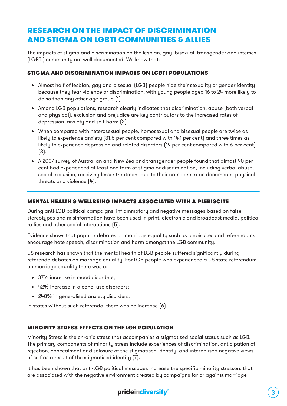# RESEARCH ON THE IMPACT OF DISCRIMINATION AND STIGMA ON LGBTI COMMUNITIES & ALLIES

The impacts of stigma and discrimination on the lesbian, gay, bisexual, transgender and intersex (LGBTI) community are well documented. We know that:

#### STIGMA AND DISCRIMINATION IMPACTS ON LGBTI POPULATIONS

- Almost half of lesbian, gay and bisexual (LGB) people hide their sexuality or gender identity because they fear violence or discrimination, with young people aged 16 to 24 more likely to do so than any other age group (1).
- • Among LGB populations, research clearly indicates that discrimination, abuse (both verbal and physical), exclusion and prejudice are key contributors to the increased rates of depression, anxiety and self-harm (2).
- When compared with heterosexual people, homosexual and bisexual people are twice as likely to experience anxiety (31.5 per cent compared with 14.1 per cent) and three times as likely to experience depression and related disorders (19 per cent compared with 6 per cent) (3).
- • A 2007 survey of Australian and New Zealand transgender people found that almost 90 per cent had experienced at least one form of stigma or discrimination, including verbal abuse, social exclusion, receiving lesser treatment due to their name or sex on documents, physical threats and violence (4).

#### MENTAL HEALTH & WELLBEING IMPACTS ASSOCIATED WITH A PLEBISCITE

During anti-LGB political campaigns, inflammatory and negative messages based on false stereotypes and misinformation have been used in print, electronic and broadcast media, political rallies and other social interactions (5).

Evidence shows that popular debates on marriage equality such as plebiscites and referendums encourage hate speech, discrimination and harm amongst the LGB community.

US research has shown that the mental health of LGB people suffered significantly during referenda debates on marriage equality. For LGB people who experienced a US state referendum on marriage equality there was a:

- 37% increase in mood disorders:
- • 42% increase in alcohol-use disorders;
- • 248% in generalised anxiety disorders.

In states without such referenda, there was no increase (6).

#### MINORITY STRESS EFFECTS ON THE LGB POPULATION

Minority Stress is the chronic stress that accompanies a stigmatised social status such as LGB. The primary components of minority stress include experiences of discrimination, anticipation of rejection, concealment or disclosure of the stigmatised identity, and internalised negative views of self as a result of the stigmatised identity (7).

It has been shown that anti-LGB political messages increase the specific minority stressors that are associated with the negative environment created by campaigns for or against marriage

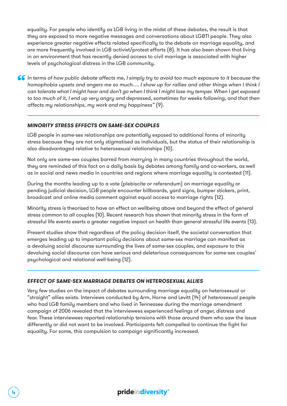equality. For people who identify as LGB living in the midst of these debates, the result is that they are exposed to more negative messages and conversations about LGBTI people. They also experience greater negative effects related specifically to the debate on marriage equality, and are more frequently involved in LGB activist/protest efforts (8). It has also been shown that living in an environment that has recently denied access to civil marriage is associated with higher levels of psychological distress in the LGB community.

**I** In terms of how public debate affects me, I simply try to avoid too much exposure to it because the homophobia upsets and angers me so much.... I show up for rallies and other things when I think I can tolerate what I *homophobia upsets and angers me so much…. I show up for rallies and other things when I think I can tolerate what I might hear and don't go when I think I might lose my temper. When I get exposed to too much of it, I end up very angry and depressed, sometimes for weeks following, and that then affects my relationships, my work and my happiness"* (9).

#### *MINORITY STRESS EFFECTS ON SAME-SEX COUPLES*

LGB people in same-sex relationships are potentially exposed to additional forms of minority stress because they are not only stigmatised as individuals, but the status of their relationship is also disadvantaged relative to heterosexual relationships (10).

Not only are same-sex couples barred from marrying in many countries throughout the world, they are reminded of this fact on a daily basis by debates among family and co-workers, as well as in social and news media in countries and regions where marriage equality is contested (11).

During the months leading up to a vote (plebiscite or referendum) on marriage equality or pending judicial decision, LGB people encounter billboards, yard signs, bumper stickers, print, broadcast and online media comment against equal access to marriage rights (12).

Minority stress is theorised to have an effect on wellbeing above and beyond the effect of general stress common to all couples (10). Recent research has shown that minority stress in the form of stressful life events exerts a greater negative impact on health than general stressful life events (13).

Present studies show that regardless of the policy decision itself, the societal conversation that emerges leading up to important policy decisions about same-sex marriage can manifest as a devaluing social discourse surrounding the lives of same-sex couples, and exposure to this devaluing social discourse can have serious and deleterious consequences for same-sex couples' psychological and relational well-being (12).

#### *EFFECT OF SAME-SEX MARRIAGE DEBATES ON HETEROSEXUAL ALLIES*

Very few studies on the impact of debates surrounding marriage equality on heterosexual or "straight" allies exists. Interviews conducted by Arm, Horne and Levitt (14) of heterosexual people who had LGB family members and who lived in Tennessee during the marriage amendment campaign of 2006 revealed that the interviewees experienced feelings of anger, distress and fear. These interviewees reported relationship tensions with those around them who saw the issue differently or did not want to be involved. Participants felt compelled to continue the fight for equality. For some, this compulsion to campaign significantly increased.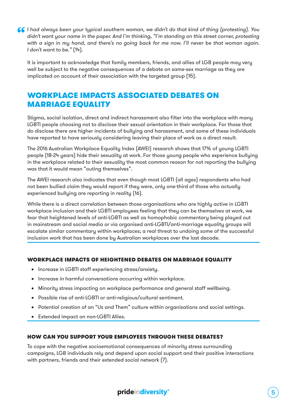**66** I had always been your typical southern woman, we didn't do that kind of thing (protesting). You didn't want your name in the paper. And I'm thinking, "I'm standing on this street corner, protesting with a sign in my *didn't want your name in the paper. And I'm thinking, "I'm standing on this street corner, protesting with a sign in my hand, and there's no going back for me now. I'll never be that woman again. I don't want to be."* (14).

It is important to acknowledge that family members, friends, and allies of LGB people may very well be subject to the negative consequences of a debate on same-sex marriage as they are implicated on account of their association with the targeted group (15).

# WORKPLACE IMPACTS ASSOCIATED DEBATES ON **MARRIAGE EQUALITY**

Stigma, social isolation, direct and indirect harassment also filter into the workplace with many LGBTI people choosing not to disclose their sexual orientation in their workplace. For those that do disclose there are higher incidents of bullying and harassment, and some of these individuals have reported to have seriously considering leaving their place of work as a direct result.

The 2016 Australian Workplace Equality Index (AWEI) research shows that 17% of young LGBTI people (18-24 years) hide their sexuality at work. For those young people who experience bullying in the workplace related to their sexuality the most common reason for not reporting the bullying was that it would mean "outing themselves".

The AWEI research also indicates that even though most LGBTI (all ages) respondents who had not been bullied claim they would report if they were, only one-third of those who actually experienced bullying are reporting in reality (16).

While there is a direct correlation between those organisations who are highly active in LGBTI workplace inclusion and their LGBTI employees feeling that they can be themselves at work, we fear that heightened levels of anti-LGBTI as well as homophobic commentary being played out in mainstream and social media or via organised anti-LGBTI/anti-marriage equality groups will escalate similar commentary within workplaces; a real threat to undoing some of the successful inclusion work that has been done by Australian workplaces over the last decade.

#### WORKPLACE IMPACTS OF HEIGHTENED DEBATES ON MARRIAGE EQUALITY

- Increase in LGBTI staff experiencing stress/anxiety.
- Increase in harmful conversations occurring within workplace.
- • Minority stress impacting on workplace performance and general staff wellbeing.
- • Possible rise of anti-LGBTI or anti-religious/cultural sentiment.
- • Potential creation of an "Us and Them" culture within organisations and social settings.
- • Extended impact on non-LGBTI Allies.

#### HOW CAN YOU SUPPORT YOUR EMPLOYEES THROUGH THESE DEBATES?

To cope with the negative socioemotional consequences of minority stress surrounding campaigns, LGB individuals rely and depend upon social support and their positive interactions with partners, friends and their extended social network (7).

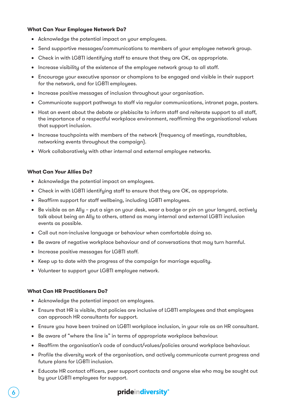#### **What Can Your Employee Network Do?**

- • Acknowledge the potential impact on your employees.
- Send supportive messages/communications to members of your employee network group.
- Check in with LGBTI identifying staff to ensure that they are OK, as appropriate.
- • Increase visibility of the existence of the employee network group to all staff.
- • Encourage your executive sponsor or champions to be engaged and visible in their support for the network, and for LGBTI employees.
- • Increase positive messages of inclusion throughout your organisation.
- • Communicate support pathways to staff via regular communications, intranet page, posters.
- Host an event about the debate or plebiscite to inform staff and reiterate support to all staff, the importance of a respectful workplace environment, reaffirming the organisational values that support inclusion.
- Increase touchpoints with members of the network (frequency of meetings, roundtables, networking events throughout the campaign).
- • Work collaboratively with other internal and external employee networks.

#### **What Can Your Allies Do?**

- Acknowledge the potential impact on employees.
- • Check in with LGBTI identifying staff to ensure that they are OK, as appropriate.
- Reaffirm support for staff wellbeing, including LGBTI employees.
- • Be visible as an Ally put a sign on your desk, wear a badge or pin on your lanyard, actively talk about being an Ally to others, attend as many internal and external LGBTI inclusion events as possible.
- • Call out non-inclusive language or behaviour when comfortable doing so.
- • Be aware of negative workplace behaviour and of conversations that may turn harmful.
- • Increase positive messages for LGBTI staff.
- Keep up to date with the progress of the campaign for marriage equality.
- Volunteer to support your LGBTI employee network.

#### **What Can HR Practitioners Do?**

- Acknowledge the potential impact on employees.
- • Ensure that HR is visible, that policies are inclusive of LGBTI employees and that employees can approach HR consultants for support.
- • Ensure you have been trained on LGBTI workplace inclusion, in your role as an HR consultant.
- Be aware of "where the line is" in terms of appropriate workplace behaviour.
- Reaffirm the organisation's code of conduct/values/policies around workplace behaviour.
- • Profile the diversity work of the organisation, and actively communicate current progress and future plans for LGBTI inclusion.
- Educate HR contact officers, peer support contacts and anyone else who may be sought out by your LGBTI employees for support.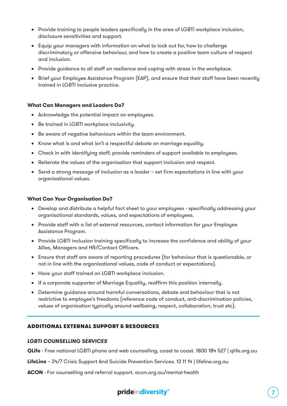- • Provide training to people leaders specifically in the area of LGBTI workplace inclusion, disclosure sensitivities and support.
- • Equip your managers with information on what to look out for, how to challenge discriminatory or offensive behaviour, and how to create a positive team culture of respect and inclusion.
- Provide guidance to all staff on resilience and coping with stress in the workplace.
- Brief your Employee Assistance Program (EAP), and ensure that their staff have been recently trained in LGBTI inclusive practice.

#### **What Can Managers and Leaders Do?**

- Acknowledge the potential impact on employees.
- • Be trained in LGBTI workplace inclusivity.
- Be aware of negative behaviours within the team environment.
- Know what is and what isn't a respectful debate on marriage equality.
- Check in with identifying staff, provide reminders of support available to employees.
- Reiterate the values of the organisation that support inclusion and respect.
- • Send a strong message of inclusion as a leader set firm expectations in line with your organisational values.

#### **What Can Your Organisation Do?**

- Develop and distribute a helpful fact sheet to your employees specifically addressing your organisational standards, values, and expectations of employees.
- Provide staff with a list of external resources, contact information for your Employee Assistance Program.
- Provide LGBTI inclusion training specifically to increase the confidence and ability of your Allies, Managers and HR/Contact Officers.
- Ensure that staff are aware of reporting procedures (for behaviour that is questionable, or not in line with the organisational values, code of conduct or expectations).
- • Have your staff trained on LGBTI workplace inclusion.
- • If a corporate supporter of Marriage Equality, reaffirm this position internally.
- Determine guidance around harmful conversations, debate and behaviour that is not restrictive to employee's freedoms (reference code of conduct, anti-discrimination policies, values of organisation typically around wellbeing, respect, collaboration, trust etc).

#### ADDITIONAL EXTERNAL SUPPORT & RESOURCES

#### *LGBTI COUNSELLING SERVICES*

**QLife** - Free national LGBTI phone and web counselling, coast to coast. 1800 184 527 | [qlife.org.au](https://qlife.org.au/)

**LifeLine** – 24/7 Crisis Support And Suicide Prevention Services. 13 11 14 | lifeline.org.au

**ACON** - For counselling and referral support. [acon.org.au/mental-health](http://www.acon.org.au/what-we-are-here-for/mental-health/)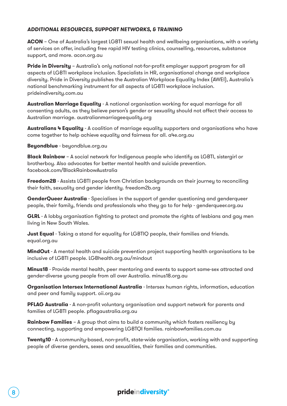#### *ADDITIONAL RESOURCES, SUPPORT NETWORKS, & TRAINING*

**ACON** - One of Australia's largest LGBTI sexual health and wellbeing organisations, with a variety of services on offer, including free rapid HIV testing clinics, counselling, resources, substance support, and more. [acon.org.au](http://www.acon.org.au)

**Pride in Diversity** – Australia's only national not-for-profit employer support program for all aspects of LGBTI workplace inclusion. Specialists in HR, organisational change and workplace diversity. Pride in Diversity publishes the Australian Workplace Equality Index (AWEI), Australia's national benchmarking instrument for all aspects of LGBTI workplace inclusion. [prideindiversity.com.au](http://www.prideindiversity.com.au)

**Australian Marriage Equality** - A national organisation working for equal marriage for all consenting adults, as they believe person's gender or sexuality should not affect their access to Australian marriage. [australianmarriageequality.org](http://www.australianmarriageequality.org/)

**Australians 4 Equality** - A coalition of marriage equality supporters and organisations who have come together to help achieve equality and fairness for all. a4e.org.au

**Beyondblue** - [beyondblue.org.au](https://www.beyondblue.org.au/)

**Black Rainbow** – A social network for Indigenous people who identify as LGBTI, sistergirl or brotherboy. Also advocates for better mental health and suicide prevention. [facebook.com/BlackRainbowAustralia](https://www.facebook.com/BlackRainbowAustralia/)

**Freedom2B** - Assists LGBTI people from Christian backgrounds on their journey to reconciling their faith, sexuality and gender identity. [freedom2b.org](https://freedom2b.org/)

**GenderQueer Australia** - Specialises in the support of gender questioning and genderqueer people, their family, friends and professionals who they go to for help - [genderqueer.org.au](http://www.genderqueer.org.au/)

**GLRL** - A lobby organisation fighting to protect and promote the rights of lesbians and gay men living in New South Wales.

**Just Equal** - Taking a stand for equality for LGBTIQ people, their families and friends. equal.org.au

**MindOut** - A mental health and suicide prevention project supporting health organisations to be inclusive of LGBTI people. [LGBhealth.org.au/mindout](http://lgbtihealth.org.au/mindout/)

**Minus18** - Provide mental health, peer mentoring and events to support same-sex attracted and gender-diverse young people from all over Australia. [minus18.org.au](https://minus18.org.au/)

**Organisation Intersex International Australia** - Intersex human rights, information, education and peer and family support. [oii.org.au](http://oii.org.au/)

**PFLAG Australia** - A non-profit voluntary organisation and support network for parents and families of LGBTI people. [pflagaustralia.org.au](http://pflagaustralia.org.au/)

**Rainbow Families** - A group that aims to build a community which fosters resiliency by connecting, supporting and empowering LGBTQI families. rainbowfamilies.com.au

**Twenty10** - A community-based, non-profit, state-wide organisation, working with and supporting people of diverse genders, sexes and sexualities, their families and communities.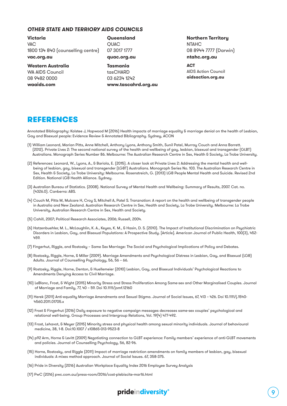#### *OTHER STATE AND TERRIORY AIDS COUNCILS*

**Victoria** VAC 1800 134 840 (counselling centre) **vac.org.au**

#### **Western Australia**

WA AIDS Council 08 9482 0000 **waaids.com**

#### **Queensland OUAC** 07 3017 1777 **quac.org.au**

**Tasmania** tasCHARD 03 6234 1242 **www.tascahrd.org.au**

#### **Northern Territory NTAHC** 08 8944 7777 (Darwin) **ntahc.org.au**

#### **ACT**

AIDS Action Council **aidsaction.org.au**

## REFERENCES

Annotated Bibliography: Kolstee J, Hopwood M (2016) Health impacts of marriage equality & marriage denial on the health of Lesbian, Gay and Bisexual people: Evidence Review & Annotated Bibliography. Sydney, ACON

- (1) William Leonard, Marian Pitts, Anne Mitchell, Anthony Lyons, Anthony Smith, Sunil Patel, Murray Couch and Anna Barrett. (2012). Private Lives 2: The second national survey of the health and wellbeing of gay, lesbian, bisexual and transgender (GLBT) Australians. Monograph Series Number 86. Melbourne: The Australian Research Centre in Sex, Health & Society, La Trobe University.
- (2) References: Leonard, W., Lyons, A., & Bariola, E. (2015). A closer look at Private Lives 2: Addressing the mental health and wellbeing of lesbian, gay, bisexual and transgender (LGBT) Australians. Monograph Series No. 103. The Australian Research Centre in Sex, Health & Society, La Trobe University: Melbourne. Rosenstreich, G. (2013) LGB People Mental Health and Suicide. Revised 2nd Edition. National LGB Health Alliance. Sydney.
- (3) Australian Bureau of Statistics. (2008). National Survey of Mental Health and Wellbeing: Summary of Results, 2007. Cat. no. (4326.0). Canberra: ABS.
- (4) Couch M, Pitts M, Mulcare H, Croy S, Mitchell A, Patel S. Tranznation: A report on the health and wellbeing of transgender people in Australia and New Zealand. Australian Research Centre in Sex, Health and Society, La Trobe University. Melbourne: La Trobe University, Australian Research Centre in Sex, Health and Society.
- (5) Cahill, 2007; Political Research Associates, 2006; Russell, 2004.
- (6) Hatzenbuehler, M. L., McLaughlin, K. A., Keyes, K. M., & Hasin, D. S. (2010). The Impact of Institutional Discrimination on Psychiatric Disorders in Lesbian, Gay, and Bisexual Populations: A Prospective Study. [Article]. American Journal of Public Health, 100(3), 452- 459.
- (7) Fingerhut, Riggle, and Rostosky Same Sex Marriage: The Social and Psychological Implications of Policy and Debates.
- (8) Rostosky, Riggle, Horne, & Miller (2009). Marriage Amendments and Psychological Distress in Lesbian, Gay, and Bisexual (LGB) Adults. Journal of Counselling Psychology, 56, 56 – 66.
- (9) Rostosky, Riggle, Horne, Denton, & Huellemeier (2010) Lesbian, Gay, and Bisexual Individuals' Psychological Reactions to Amendments Denying Access to Civil Marriage.
- (10) LeBlanc, Frost, & Wight (2015) Minority Stress and Stress Proliferation Among Same-sex and Other Marginalised Couples. Journal of Marriage and Family, 77, 40 – 59. Doi 10.1111/jomf.12160
- (11) Herek (2011) Anti-equality Marriage Amendments and Sexual Stigma. Journal of Social Issues, 67, 413 426. Doi 10.1111/j.1540- 4560.2011.01705.x
- (12) Frost & Fingerhut (2016) Daily exposure to negative campaign messages decreases same-sex couples' psychological and relational well-being. Group Processes and Intergroup Relations, Vol. 19(4) 477-492.
- (13) Frost, Lehavot, & Meyer (2015) Minority stress and physical health among sexual minority individuals. Journal of behavioural medicine, 38, 1-8. Doi:10.1007 / s10865-013-9523-8
- (14) p92 Arm, Horne & Levitt (2009) Negotiating connection to GLBT experience: Family members' experience of anti-GLBT movements and policies. Journal of Counselling Psychology, 56, 82-96.
- (15) Horne, Rostosky, and Riggle (2011) Impact of marriage restriction amendments on family members of lesbian, gay, bisexual individuals: A mixes method approach. Journal of Social Issues. 67, 358-375.
- (16) Pride in Diversity (2016) Australian Workplace Equality Index 2016 Employee Survey Analysis
- (17) PwC (2016) pwc.com.au/press-room/2016/cost-plebiscite-mar16.html